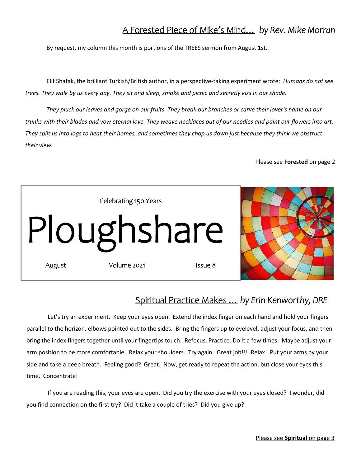## A Forested Piece of Mike's Mind… *by Rev. Mike Morran*

By request, my column this month is portions of the TREES sermon from August 1st.

Elif Shafak, the brilliant Turkish/British author, in a perspective-taking experiment wrote: *Humans do not see trees. They walk by us every day. They sit and sleep, smoke and picnic and secretly kiss in our shade.* 

*They pluck our leaves and gorge on our fruits. They break our branches or carve their lover's name on our trunks with their blades and vow eternal love. They weave necklaces out of our needles and paint our flowers into art. They split us into logs to heat their homes, and sometimes they chop us down just because they think we obstruct their view.* 

#### Please see **Forested** on page 2



## Spiritual Practice Makes … *by Erin Kenworthy, DRE*

Let's try an experiment. Keep your eyes open. Extend the index finger on each hand and hold your fingers parallel to the horizon, elbows pointed out to the sides. Bring the fingers up to eyelevel, adjust your focus, and then bring the index fingers together until your fingertips touch. Refocus. Practice. Do it a few times. Maybe adjust your arm position to be more comfortable. Relax your shoulders. Try again. Great job!!! Relax! Put your arms by your side and take a deep breath. Feeling good? Great. Now, get ready to repeat the action, but close your eyes this time. Concentrate!

If you are reading this, your eyes are open. Did you try the exercise with your eyes closed? I wonder, did you find connection on the first try? Did it take a couple of tries? Did you give up?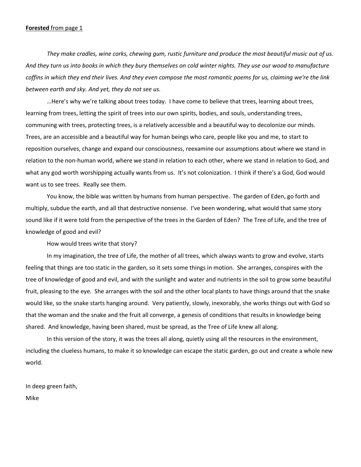#### **Forested** from page 1

*They make cradles, wine corks, chewing gum, rustic furniture and produce the most beautiful music out of us. And they turn us into books in which they bury themselves on cold winter nights. They use our wood to manufacture coffins in which they end their lives. And they even compose the most romantic poems for us, claiming we're the link between earth and sky. And yet, they do not see us.* 

…Here's why we're talking about trees today. I have come to believe that trees, learning about trees, learning from trees, letting the spirit of trees into our own spirits, bodies, and souls, understanding trees, communing with trees, protecting trees, is a relatively accessible and a beautiful way to decolonize our minds. Trees, are an accessible and a beautiful way for human beings who care, people like you and me, to start to reposition ourselves, change and expand our consciousness, reexamine our assumptions about where we stand in relation to the non-human world, where we stand in relation to each other, where we stand in relation to God, and what any god worth worshipping actually wants from us. It's not colonization. I think if there's a God, God would want us to see trees. Really see them.

You know, the bible was written by humans from human perspective. The garden of Eden, go forth and multiply, subdue the earth, and all that destructive nonsense. I've been wondering, what would that same story sound like if it were told from the perspective of the trees in the Garden of Eden? The Tree of Life, and the tree of knowledge of good and evil?

How would trees write that story?

In my imagination, the tree of Life, the mother of all trees, which always wants to grow and evolve, starts feeling that things are too static in the garden, so it sets some things in motion. She arranges, conspires with the tree of knowledge of good and evil, and with the sunlight and water and nutrients in the soil to grow some beautiful fruit, pleasing to the eye. She arranges with the soil and the other local plants to have things around that the snake would like, so the snake starts hanging around. Very patiently, slowly, inexorably, she works things out with God so that the woman and the snake and the fruit all converge, a genesis of conditions that results in knowledge being shared. And knowledge, having been shared, must be spread, as the Tree of Life knew all along.

In this version of the story, it was the trees all along, quietly using all the resources in the environment, including the clueless humans, to make it so knowledge can escape the static garden, go out and create a whole new world.

In deep green faith,

Mike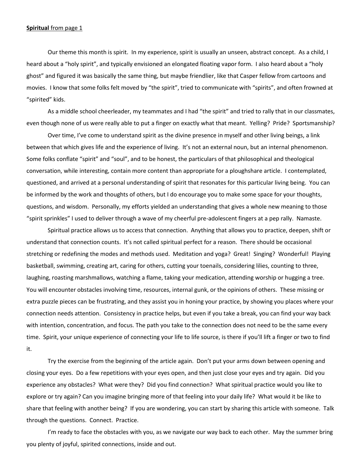#### **Spiritual** from page 1

Our theme this month is spirit. In my experience, spirit is usually an unseen, abstract concept. As a child, I heard about a "holy spirit", and typically envisioned an elongated floating vapor form. I also heard about a "holy ghost" and figured it was basically the same thing, but maybe friendlier, like that Casper fellow from cartoons and movies. I know that some folks felt moved by "the spirit", tried to communicate with "spirits", and often frowned at "spirited" kids.

As a middle school cheerleader, my teammates and I had "the spirit" and tried to rally that in our classmates, even though none of us were really able to put a finger on exactly what that meant. Yelling? Pride? Sportsmanship?

Over time, I've come to understand spirit as the divine presence in myself and other living beings, a link between that which gives life and the experience of living. It's not an external noun, but an internal phenomenon. Some folks conflate "spirit" and "soul", and to be honest, the particulars of that philosophical and theological conversation, while interesting, contain more content than appropriate for a ploughshare article. I contemplated, questioned, and arrived at a personal understanding of spirit that resonates for this particular living being. You can be informed by the work and thoughts of others, but I do encourage you to make some space for your thoughts, questions, and wisdom. Personally, my efforts yielded an understanding that gives a whole new meaning to those "spirit sprinkles" I used to deliver through a wave of my cheerful pre-adolescent fingers at a pep rally. Namaste.

Spiritual practice allows us to access that connection. Anything that allows you to practice, deepen, shift or understand that connection counts. It's not called spiritual perfect for a reason. There should be occasional stretching or redefining the modes and methods used. Meditation and yoga? Great! Singing? Wonderful! Playing basketball, swimming, creating art, caring for others, cutting your toenails, considering lilies, counting to three, laughing, roasting marshmallows, watching a flame, taking your medication, attending worship or hugging a tree. You will encounter obstacles involving time, resources, internal gunk, or the opinions of others. These missing or extra puzzle pieces can be frustrating, and they assist you in honing your practice, by showing you places where your connection needs attention. Consistency in practice helps, but even if you take a break, you can find your way back with intention, concentration, and focus. The path you take to the connection does not need to be the same every time. Spirit, your unique experience of connecting your life to life source, is there if you'll lift a finger or two to find it.

Try the exercise from the beginning of the article again. Don't put your arms down between opening and closing your eyes. Do a few repetitions with your eyes open, and then just close your eyes and try again. Did you experience any obstacles? What were they? Did you find connection? What spiritual practice would you like to explore or try again? Can you imagine bringing more of that feeling into your daily life? What would it be like to share that feeling with another being? If you are wondering, you can start by sharing this article with someone. Talk through the questions. Connect. Practice.

I'm ready to face the obstacles with you, as we navigate our way back to each other. May the summer bring you plenty of joyful, spirited connections, inside and out.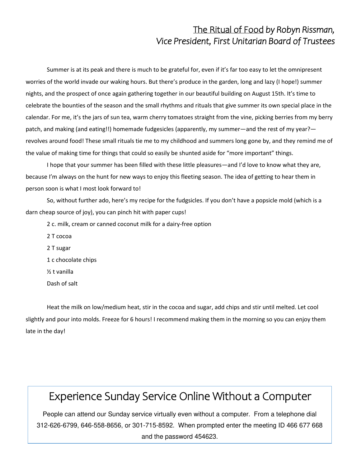## The Ritual of Food *by Robyn Rissman, Vice President, First Unitarian Board of Trustees*

Summer is at its peak and there is much to be grateful for, even if it's far too easy to let the omnipresent worries of the world invade our waking hours. But there's produce in the garden, long and lazy (I hope!) summer nights, and the prospect of once again gathering together in our beautiful building on August 15th. It's time to celebrate the bounties of the season and the small rhythms and rituals that give summer its own special place in the calendar. For me, it's the jars of sun tea, warm cherry tomatoes straight from the vine, picking berries from my berry patch, and making (and eating!!) homemade fudgesicles (apparently, my summer—and the rest of my year? revolves around food! These small rituals tie me to my childhood and summers long gone by, and they remind me of the value of making time for things that could so easily be shunted aside for "more important" things.

I hope that your summer has been filled with these little pleasures—and I'd love to know what they are, because I'm always on the hunt for new ways to enjoy this fleeting season. The idea of getting to hear them in person soon is what I most look forward to!

So, without further ado, here's my recipe for the fudgsicles. If you don't have a popsicle mold (which is a darn cheap source of joy), you can pinch hit with paper cups!

- 2 c. milk, cream or canned coconut milk for a dairy-free option
- 2 T cocoa 2 T sugar 1 c chocolate chips ½ t vanilla Dash of salt

Heat the milk on low/medium heat, stir in the cocoa and sugar, add chips and stir until melted. Let cool slightly and pour into molds. Freeze for 6 hours! I recommend making them in the morning so you can enjoy them late in the day!

# Experience Sunday Service Online Without a Computer

People can attend our Sunday service virtually even without a computer. From a telephone dial 312-626-6799, 646-558-8656, or 301-715-8592. When prompted enter the meeting ID 466 677 668 and the password 454623.